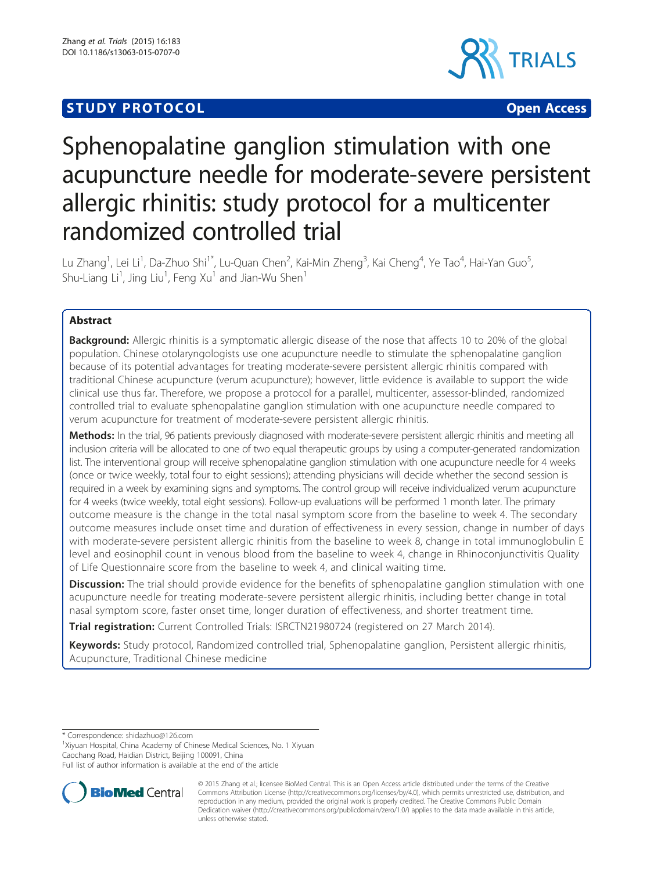# **STUDY PROTOCOL CONSUMING THE CONSUMING OPEN ACCESS**



# Sphenopalatine ganglion stimulation with one acupuncture needle for moderate-severe persistent allergic rhinitis: study protocol for a multicenter randomized controlled trial

Lu Zhang<sup>1</sup>, Lei Li<sup>1</sup>, Da-Zhuo Shi<sup>1\*</sup>, Lu-Quan Chen<sup>2</sup>, Kai-Min Zheng<sup>3</sup>, Kai Cheng<sup>4</sup>, Ye Tao<sup>4</sup>, Hai-Yan Guo<sup>5</sup> , Shu-Liang Li<sup>1</sup>, Jing Liu<sup>1</sup>, Feng Xu<sup>1</sup> and Jian-Wu Shen<sup>1</sup>

# Abstract

Background: Allergic rhinitis is a symptomatic allergic disease of the nose that affects 10 to 20% of the global population. Chinese otolaryngologists use one acupuncture needle to stimulate the sphenopalatine ganglion because of its potential advantages for treating moderate-severe persistent allergic rhinitis compared with traditional Chinese acupuncture (verum acupuncture); however, little evidence is available to support the wide clinical use thus far. Therefore, we propose a protocol for a parallel, multicenter, assessor-blinded, randomized controlled trial to evaluate sphenopalatine ganglion stimulation with one acupuncture needle compared to verum acupuncture for treatment of moderate-severe persistent allergic rhinitis.

Methods: In the trial, 96 patients previously diagnosed with moderate-severe persistent allergic rhinitis and meeting all inclusion criteria will be allocated to one of two equal therapeutic groups by using a computer-generated randomization list. The interventional group will receive sphenopalatine ganglion stimulation with one acupuncture needle for 4 weeks (once or twice weekly, total four to eight sessions); attending physicians will decide whether the second session is required in a week by examining signs and symptoms. The control group will receive individualized verum acupuncture for 4 weeks (twice weekly, total eight sessions). Follow-up evaluations will be performed 1 month later. The primary outcome measure is the change in the total nasal symptom score from the baseline to week 4. The secondary outcome measures include onset time and duration of effectiveness in every session, change in number of days with moderate-severe persistent allergic rhinitis from the baseline to week 8, change in total immunoglobulin E level and eosinophil count in venous blood from the baseline to week 4, change in Rhinoconjunctivitis Quality of Life Questionnaire score from the baseline to week 4, and clinical waiting time.

**Discussion:** The trial should provide evidence for the benefits of sphenopalatine ganglion stimulation with one acupuncture needle for treating moderate-severe persistent allergic rhinitis, including better change in total nasal symptom score, faster onset time, longer duration of effectiveness, and shorter treatment time.

**Trial registration:** Current Controlled Trials: [ISRCTN21980724](http://www.isrctn.com/ISRCTN21980724?q=acupuncture&filters=&sort=&offset=11&totalResults=132&page=2&pageSize=10&searchType=basic-search) (registered on 27 March 2014).

Keywords: Study protocol, Randomized controlled trial, Sphenopalatine ganglion, Persistent allergic rhinitis, Acupuncture, Traditional Chinese medicine

\* Correspondence: [shidazhuo@126.com](mailto:shidazhuo@126.com) <sup>1</sup>

<sup>1</sup>Xiyuan Hospital, China Academy of Chinese Medical Sciences, No. 1 Xiyuan

Caochang Road, Haidian District, Beijing 100091, China

Full list of author information is available at the end of the article



© 2015 Zhang et al.; licensee BioMed Central. This is an Open Access article distributed under the terms of the Creative Commons Attribution License [\(http://creativecommons.org/licenses/by/4.0\)](http://creativecommons.org/licenses/by/4.0), which permits unrestricted use, distribution, and reproduction in any medium, provided the original work is properly credited. The Creative Commons Public Domain Dedication waiver [\(http://creativecommons.org/publicdomain/zero/1.0/](http://creativecommons.org/publicdomain/zero/1.0/)) applies to the data made available in this article, unless otherwise stated.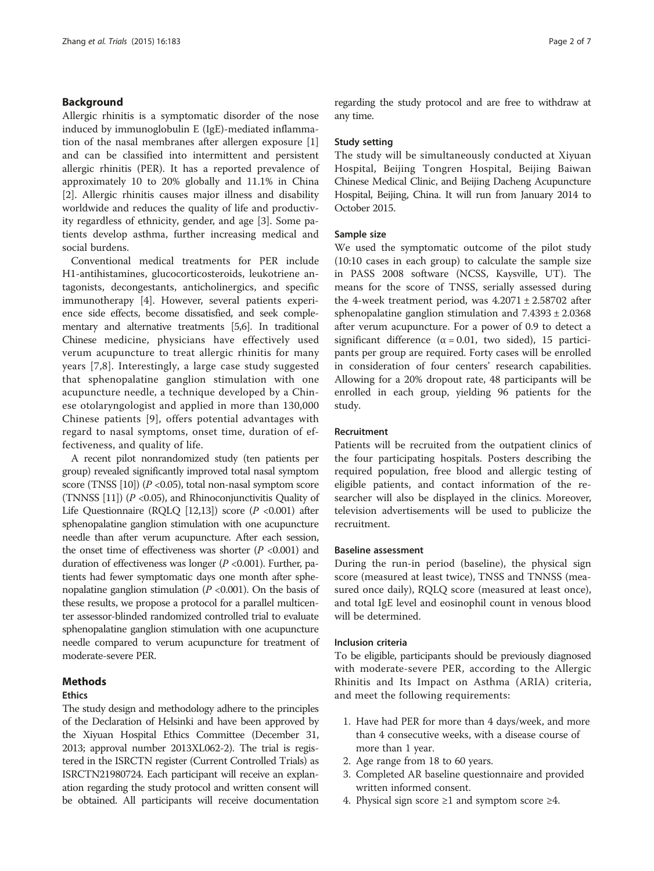# Background

Allergic rhinitis is a symptomatic disorder of the nose induced by immunoglobulin E (IgE)-mediated inflammation of the nasal membranes after allergen exposure [\[1](#page-6-0)] and can be classified into intermittent and persistent allergic rhinitis (PER). It has a reported prevalence of approximately 10 to 20% globally and 11.1% in China [[2\]](#page-6-0). Allergic rhinitis causes major illness and disability worldwide and reduces the quality of life and productivity regardless of ethnicity, gender, and age [[3\]](#page-6-0). Some patients develop asthma, further increasing medical and social burdens.

Conventional medical treatments for PER include H1-antihistamines, glucocorticosteroids, leukotriene antagonists, decongestants, anticholinergics, and specific immunotherapy [[4\]](#page-6-0). However, several patients experience side effects, become dissatisfied, and seek complementary and alternative treatments [\[5,6\]](#page-6-0). In traditional Chinese medicine, physicians have effectively used verum acupuncture to treat allergic rhinitis for many years [[7,8](#page-6-0)]. Interestingly, a large case study suggested that sphenopalatine ganglion stimulation with one acupuncture needle, a technique developed by a Chinese otolaryngologist and applied in more than 130,000 Chinese patients [\[9](#page-6-0)], offers potential advantages with regard to nasal symptoms, onset time, duration of effectiveness, and quality of life.

A recent pilot nonrandomized study (ten patients per group) revealed significantly improved total nasal symptom score (TNSS [[10](#page-6-0)]) ( $P$  <0.05), total non-nasal symptom score (TNNSS [\[11\]](#page-6-0)) ( $P \le 0.05$ ), and Rhinoconjunctivitis Quality of Life Questionnaire (RQLQ [\[12,13](#page-6-0)]) score ( $P < 0.001$ ) after sphenopalatine ganglion stimulation with one acupuncture needle than after verum acupuncture. After each session, the onset time of effectiveness was shorter  $(P < 0.001)$  and duration of effectiveness was longer ( $P < 0.001$ ). Further, patients had fewer symptomatic days one month after sphenopalatine ganglion stimulation ( $P < 0.001$ ). On the basis of these results, we propose a protocol for a parallel multicenter assessor-blinded randomized controlled trial to evaluate sphenopalatine ganglion stimulation with one acupuncture needle compared to verum acupuncture for treatment of moderate-severe PER.

# Methods

# Ethics

The study design and methodology adhere to the principles of the Declaration of Helsinki and have been approved by the Xiyuan Hospital Ethics Committee (December 31, 2013; approval number 2013XL062-2). The trial is registered in the ISRCTN register (Current Controlled Trials) as ISRCTN21980724. Each participant will receive an explanation regarding the study protocol and written consent will be obtained. All participants will receive documentation regarding the study protocol and are free to withdraw at any time.

#### Study setting

The study will be simultaneously conducted at Xiyuan Hospital, Beijing Tongren Hospital, Beijing Baiwan Chinese Medical Clinic, and Beijing Dacheng Acupuncture Hospital, Beijing, China. It will run from January 2014 to October 2015.

#### Sample size

We used the symptomatic outcome of the pilot study (10:10 cases in each group) to calculate the sample size in PASS 2008 software (NCSS, Kaysville, UT). The means for the score of TNSS, serially assessed during the 4-week treatment period, was  $4.2071 \pm 2.58702$  after sphenopalatine ganglion stimulation and  $7.4393 \pm 2.0368$ after verum acupuncture. For a power of 0.9 to detect a significant difference ( $\alpha = 0.01$ , two sided), 15 participants per group are required. Forty cases will be enrolled in consideration of four centers' research capabilities. Allowing for a 20% dropout rate, 48 participants will be enrolled in each group, yielding 96 patients for the study.

#### Recruitment

Patients will be recruited from the outpatient clinics of the four participating hospitals. Posters describing the required population, free blood and allergic testing of eligible patients, and contact information of the researcher will also be displayed in the clinics. Moreover, television advertisements will be used to publicize the recruitment.

# Baseline assessment

During the run-in period (baseline), the physical sign score (measured at least twice), TNSS and TNNSS (measured once daily), RQLQ score (measured at least once), and total IgE level and eosinophil count in venous blood will be determined.

# Inclusion criteria

To be eligible, participants should be previously diagnosed with moderate-severe PER, according to the Allergic Rhinitis and Its Impact on Asthma (ARIA) criteria, and meet the following requirements:

- 1. Have had PER for more than 4 days/week, and more than 4 consecutive weeks, with a disease course of more than 1 year.
- 2. Age range from 18 to 60 years.
- 3. Completed AR baseline questionnaire and provided written informed consent.
- 4. Physical sign score ≥1 and symptom score ≥4.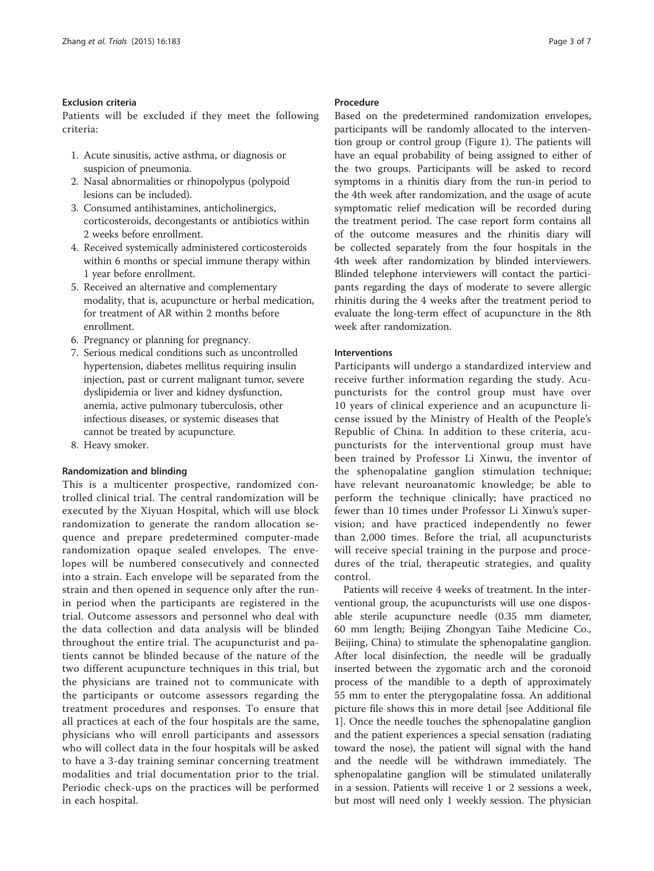# Exclusion criteria

Patients will be excluded if they meet the following criteria:

- 1. Acute sinusitis, active asthma, or diagnosis or suspicion of pneumonia.
- 2. Nasal abnormalities or rhinopolypus (polypoid lesions can be included).
- 3. Consumed antihistamines, anticholinergics, corticosteroids, decongestants or antibiotics within 2 weeks before enrollment.
- 4. Received systemically administered corticosteroids within 6 months or special immune therapy within 1 year before enrollment.
- 5. Received an alternative and complementary modality, that is, acupuncture or herbal medication, for treatment of AR within 2 months before enrollment.
- 6. Pregnancy or planning for pregnancy.
- 7. Serious medical conditions such as uncontrolled hypertension, diabetes mellitus requiring insulin injection, past or current malignant tumor, severe dyslipidemia or liver and kidney dysfunction, anemia, active pulmonary tuberculosis, other infectious diseases, or systemic diseases that cannot be treated by acupuncture.
- 8. Heavy smoker.

#### Randomization and blinding

This is a multicenter prospective, randomized controlled clinical trial. The central randomization will be executed by the Xiyuan Hospital, which will use block randomization to generate the random allocation sequence and prepare predetermined computer-made randomization opaque sealed envelopes. The envelopes will be numbered consecutively and connected into a strain. Each envelope will be separated from the strain and then opened in sequence only after the runin period when the participants are registered in the trial. Outcome assessors and personnel who deal with the data collection and data analysis will be blinded throughout the entire trial. The acupuncturist and patients cannot be blinded because of the nature of the two different acupuncture techniques in this trial, but the physicians are trained not to communicate with the participants or outcome assessors regarding the treatment procedures and responses. To ensure that all practices at each of the four hospitals are the same, physicians who will enroll participants and assessors who will collect data in the four hospitals will be asked to have a 3-day training seminar concerning treatment modalities and trial documentation prior to the trial. Periodic check-ups on the practices will be performed in each hospital.

#### **Procedure**

Based on the predetermined randomization envelopes, participants will be randomly allocated to the intervention group or control group (Figure [1\)](#page-3-0). The patients will have an equal probability of being assigned to either of the two groups. Participants will be asked to record symptoms in a rhinitis diary from the run-in period to the 4th week after randomization, and the usage of acute symptomatic relief medication will be recorded during the treatment period. The case report form contains all of the outcome measures and the rhinitis diary will be collected separately from the four hospitals in the 4th week after randomization by blinded interviewers. Blinded telephone interviewers will contact the participants regarding the days of moderate to severe allergic rhinitis during the 4 weeks after the treatment period to evaluate the long-term effect of acupuncture in the 8th week after randomization.

#### Interventions

Participants will undergo a standardized interview and receive further information regarding the study. Acupuncturists for the control group must have over 10 years of clinical experience and an acupuncture license issued by the Ministry of Health of the People's Republic of China. In addition to these criteria, acupuncturists for the interventional group must have been trained by Professor Li Xinwu, the inventor of the sphenopalatine ganglion stimulation technique; have relevant neuroanatomic knowledge; be able to perform the technique clinically; have practiced no fewer than 10 times under Professor Li Xinwu's supervision; and have practiced independently no fewer than 2,000 times. Before the trial, all acupuncturists will receive special training in the purpose and procedures of the trial, therapeutic strategies, and quality control.

Patients will receive 4 weeks of treatment. In the interventional group, the acupuncturists will use one disposable sterile acupuncture needle (0.35 mm diameter, 60 mm length; Beijing Zhongyan Taihe Medicine Co., Beijing, China) to stimulate the sphenopalatine ganglion. After local disinfection, the needle will be gradually inserted between the zygomatic arch and the coronoid process of the mandible to a depth of approximately 55 mm to enter the pterygopalatine fossa. An additional picture file shows this in more detail [see Additional file [1\]](#page-5-0). Once the needle touches the sphenopalatine ganglion and the patient experiences a special sensation (radiating toward the nose), the patient will signal with the hand and the needle will be withdrawn immediately. The sphenopalatine ganglion will be stimulated unilaterally in a session. Patients will receive 1 or 2 sessions a week, but most will need only 1 weekly session. The physician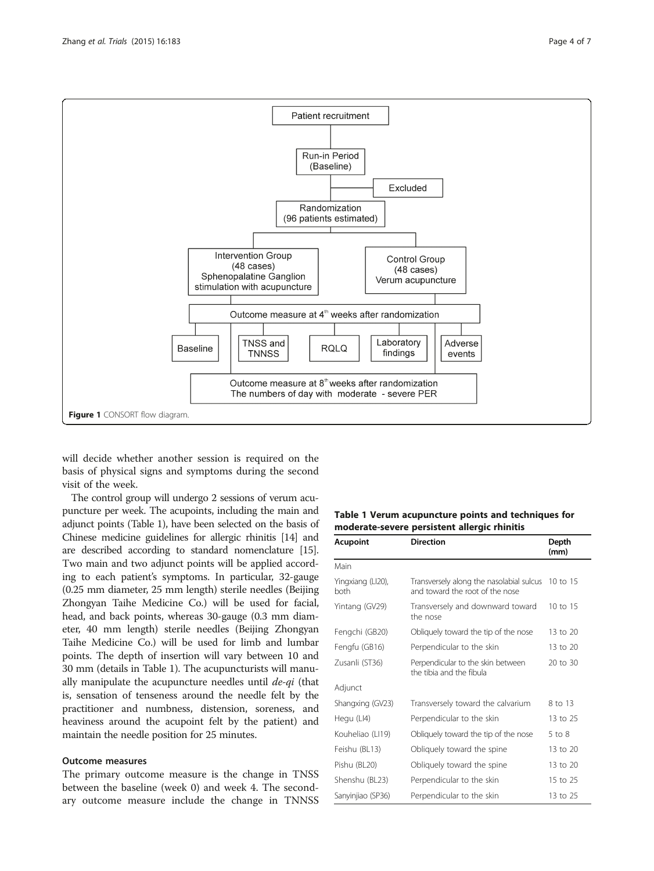<span id="page-3-0"></span>

will decide whether another session is required on the basis of physical signs and symptoms during the second visit of the week.

The control group will undergo 2 sessions of verum acupuncture per week. The acupoints, including the main and adjunct points (Table 1), have been selected on the basis of Chinese medicine guidelines for allergic rhinitis [\[14](#page-6-0)] and are described according to standard nomenclature [\[15](#page-6-0)]. Two main and two adjunct points will be applied according to each patient's symptoms. In particular, 32-gauge (0.25 mm diameter, 25 mm length) sterile needles (Beijing Zhongyan Taihe Medicine Co.) will be used for facial, head, and back points, whereas 30-gauge (0.3 mm diameter, 40 mm length) sterile needles (Beijing Zhongyan Taihe Medicine Co.) will be used for limb and lumbar points. The depth of insertion will vary between 10 and 30 mm (details in Table 1). The acupuncturists will manually manipulate the acupuncture needles until *de-qi* (that is, sensation of tenseness around the needle felt by the practitioner and numbness, distension, soreness, and heaviness around the acupoint felt by the patient) and maintain the needle position for 25 minutes.

# Outcome measures

The primary outcome measure is the change in TNSS between the baseline (week 0) and week 4. The secondary outcome measure include the change in TNNSS

Table 1 Verum acupuncture points and techniques for moderate-severe persistent allergic rhinitis

| Acupoint                  | <b>Direction</b>                                                            | Depth<br>(mm) |  |  |  |
|---------------------------|-----------------------------------------------------------------------------|---------------|--|--|--|
| Main                      |                                                                             |               |  |  |  |
| Yingxiang (LI20),<br>both | Transversely along the nasolabial sulcus<br>and toward the root of the nose | 10 to 15      |  |  |  |
| Yintang (GV29)            | Transversely and downward toward<br>the nose                                | 10 to 15      |  |  |  |
| Fengchi (GB20)            | Obliquely toward the tip of the nose                                        | 13 to 20      |  |  |  |
| Fengfu (GB16)             | Perpendicular to the skin                                                   | 13 to 20      |  |  |  |
| Zusanli (ST36)            | Perpendicular to the skin between<br>the tibia and the fibula               | 20 to 30      |  |  |  |
| Adjunct                   |                                                                             |               |  |  |  |
| Shangxing (GV23)          | Transversely toward the calvarium                                           | 8 to 13       |  |  |  |
| Hegu (LI4)                | Perpendicular to the skin                                                   | 13 to 25      |  |  |  |
| Kouheliao (Ll19)          | Obliquely toward the tip of the nose                                        | 5 to 8        |  |  |  |
| Feishu (BL13)             | Obliquely toward the spine                                                  | 13 to 20      |  |  |  |
| Pishu (BL20)              | Obliquely toward the spine                                                  | 13 to 20      |  |  |  |
| Shenshu (BL23)            | Perpendicular to the skin                                                   | 15 to 25      |  |  |  |
| Sanyinjiao (SP36)         | Perpendicular to the skin                                                   | 13 to 25      |  |  |  |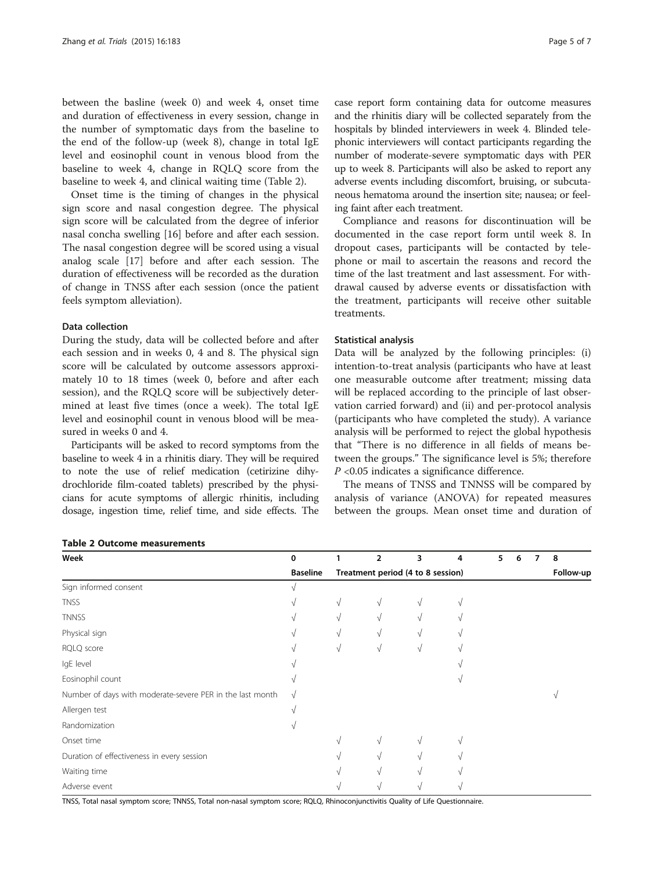between the basline (week 0) and week 4, onset time and duration of effectiveness in every session, change in the number of symptomatic days from the baseline to the end of the follow-up (week 8), change in total IgE level and eosinophil count in venous blood from the baseline to week 4, change in RQLQ score from the baseline to week 4, and clinical waiting time (Table 2).

Onset time is the timing of changes in the physical sign score and nasal congestion degree. The physical sign score will be calculated from the degree of inferior nasal concha swelling [\[16](#page-6-0)] before and after each session. The nasal congestion degree will be scored using a visual analog scale [[17\]](#page-6-0) before and after each session. The duration of effectiveness will be recorded as the duration of change in TNSS after each session (once the patient feels symptom alleviation).

# Data collection

During the study, data will be collected before and after each session and in weeks 0, 4 and 8. The physical sign score will be calculated by outcome assessors approximately 10 to 18 times (week 0, before and after each session), and the RQLQ score will be subjectively determined at least five times (once a week). The total IgE level and eosinophil count in venous blood will be measured in weeks 0 and 4.

Participants will be asked to record symptoms from the baseline to week 4 in a rhinitis diary. They will be required to note the use of relief medication (cetirizine dihydrochloride film-coated tablets) prescribed by the physicians for acute symptoms of allergic rhinitis, including dosage, ingestion time, relief time, and side effects. The

#### Table 2 Outcome measurements

case report form containing data for outcome measures and the rhinitis diary will be collected separately from the hospitals by blinded interviewers in week 4. Blinded telephonic interviewers will contact participants regarding the number of moderate-severe symptomatic days with PER up to week 8. Participants will also be asked to report any adverse events including discomfort, bruising, or subcutaneous hematoma around the insertion site; nausea; or feeling faint after each treatment.

Compliance and reasons for discontinuation will be documented in the case report form until week 8. In dropout cases, participants will be contacted by telephone or mail to ascertain the reasons and record the time of the last treatment and last assessment. For withdrawal caused by adverse events or dissatisfaction with the treatment, participants will receive other suitable treatments.

#### Statistical analysis

Data will be analyzed by the following principles: (i) intention-to-treat analysis (participants who have at least one measurable outcome after treatment; missing data will be replaced according to the principle of last observation carried forward) and (ii) and per-protocol analysis (participants who have completed the study). A variance analysis will be performed to reject the global hypothesis that "There is no difference in all fields of means between the groups." The significance level is 5%; therefore P <0.05 indicates a significance difference.

The means of TNSS and TNNSS will be compared by analysis of variance (ANOVA) for repeated measures between the groups. Mean onset time and duration of

| Week                                                      | U               |                                   | 2 | 3          | 4 | 5. | 6 | 7 | 8         |
|-----------------------------------------------------------|-----------------|-----------------------------------|---|------------|---|----|---|---|-----------|
|                                                           | <b>Baseline</b> | Treatment period (4 to 8 session) |   |            |   |    |   |   | Follow-up |
| Sign informed consent                                     |                 |                                   |   |            |   |    |   |   |           |
| <b>TNSS</b>                                               |                 | V                                 | V | $\sqrt{ }$ | V |    |   |   |           |
| <b>TNNSS</b>                                              |                 |                                   |   |            |   |    |   |   |           |
| Physical sign                                             |                 |                                   |   |            |   |    |   |   |           |
| RQLQ score                                                |                 | M                                 |   | λl         |   |    |   |   |           |
| IgE level                                                 |                 |                                   |   |            |   |    |   |   |           |
| Eosinophil count                                          |                 |                                   |   |            |   |    |   |   |           |
| Number of days with moderate-severe PER in the last month | $\sqrt{ }$      |                                   |   |            |   |    |   |   |           |
| Allergen test                                             |                 |                                   |   |            |   |    |   |   |           |
| Randomization                                             |                 |                                   |   |            |   |    |   |   |           |
| Onset time                                                |                 |                                   | V | V          | V |    |   |   |           |
| Duration of effectiveness in every session                |                 |                                   |   |            |   |    |   |   |           |
| Waiting time                                              |                 |                                   |   |            |   |    |   |   |           |
| Adverse event                                             |                 |                                   |   |            |   |    |   |   |           |

TNSS, Total nasal symptom score; TNNSS, Total non-nasal symptom score; RQLQ, Rhinoconjunctivitis Quality of Life Questionnaire.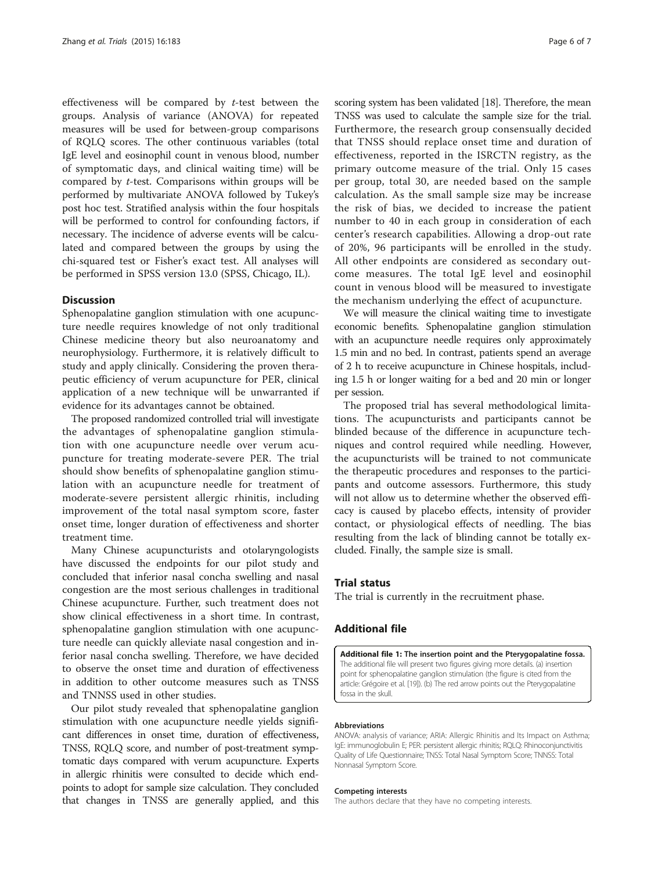<span id="page-5-0"></span>effectiveness will be compared by t-test between the groups. Analysis of variance (ANOVA) for repeated measures will be used for between-group comparisons of RQLQ scores. The other continuous variables (total IgE level and eosinophil count in venous blood, number of symptomatic days, and clinical waiting time) will be compared by t-test. Comparisons within groups will be performed by multivariate ANOVA followed by Tukey's post hoc test. Stratified analysis within the four hospitals will be performed to control for confounding factors, if necessary. The incidence of adverse events will be calculated and compared between the groups by using the chi-squared test or Fisher's exact test. All analyses will be performed in SPSS version 13.0 (SPSS, Chicago, IL).

#### **Discussion**

Sphenopalatine ganglion stimulation with one acupuncture needle requires knowledge of not only traditional Chinese medicine theory but also neuroanatomy and neurophysiology. Furthermore, it is relatively difficult to study and apply clinically. Considering the proven therapeutic efficiency of verum acupuncture for PER, clinical application of a new technique will be unwarranted if evidence for its advantages cannot be obtained.

The proposed randomized controlled trial will investigate the advantages of sphenopalatine ganglion stimulation with one acupuncture needle over verum acupuncture for treating moderate-severe PER. The trial should show benefits of sphenopalatine ganglion stimulation with an acupuncture needle for treatment of moderate-severe persistent allergic rhinitis, including improvement of the total nasal symptom score, faster onset time, longer duration of effectiveness and shorter treatment time.

Many Chinese acupuncturists and otolaryngologists have discussed the endpoints for our pilot study and concluded that inferior nasal concha swelling and nasal congestion are the most serious challenges in traditional Chinese acupuncture. Further, such treatment does not show clinical effectiveness in a short time. In contrast, sphenopalatine ganglion stimulation with one acupuncture needle can quickly alleviate nasal congestion and inferior nasal concha swelling. Therefore, we have decided to observe the onset time and duration of effectiveness in addition to other outcome measures such as TNSS and TNNSS used in other studies.

Our pilot study revealed that sphenopalatine ganglion stimulation with one acupuncture needle yields significant differences in onset time, duration of effectiveness, TNSS, RQLQ score, and number of post-treatment symptomatic days compared with verum acupuncture. Experts in allergic rhinitis were consulted to decide which endpoints to adopt for sample size calculation. They concluded that changes in TNSS are generally applied, and this

scoring system has been validated [[18](#page-6-0)]. Therefore, the mean TNSS was used to calculate the sample size for the trial. Furthermore, the research group consensually decided that TNSS should replace onset time and duration of effectiveness, reported in the ISRCTN registry, as the primary outcome measure of the trial. Only 15 cases per group, total 30, are needed based on the sample calculation. As the small sample size may be increase the risk of bias, we decided to increase the patient number to 40 in each group in consideration of each center's research capabilities. Allowing a drop-out rate of 20%, 96 participants will be enrolled in the study. All other endpoints are considered as secondary outcome measures. The total IgE level and eosinophil count in venous blood will be measured to investigate the mechanism underlying the effect of acupuncture.

We will measure the clinical waiting time to investigate economic benefits. Sphenopalatine ganglion stimulation with an acupuncture needle requires only approximately 1.5 min and no bed. In contrast, patients spend an average of 2 h to receive acupuncture in Chinese hospitals, including 1.5 h or longer waiting for a bed and 20 min or longer per session.

The proposed trial has several methodological limitations. The acupuncturists and participants cannot be blinded because of the difference in acupuncture techniques and control required while needling. However, the acupuncturists will be trained to not communicate the therapeutic procedures and responses to the participants and outcome assessors. Furthermore, this study will not allow us to determine whether the observed efficacy is caused by placebo effects, intensity of provider contact, or physiological effects of needling. The bias resulting from the lack of blinding cannot be totally excluded. Finally, the sample size is small.

#### Trial status

The trial is currently in the recruitment phase.

#### Additional file

[Additional file 1:](http://www.trialsjournal.com/content/supplementary/s13063-015-0707-0-s1.tiff) The insertion point and the Pterygopalatine fossa. The additional file will present two figures giving more details. (a) insertion point for sphenopalatine ganglion stimulation (the figure is cited from the article: Grégoire et al. [[19\]](#page-6-0)). (b) The red arrow points out the Pterygopalatine fossa in the skull.

#### Abbreviations

ANOVA: analysis of variance; ARIA: Allergic Rhinitis and Its Impact on Asthma; IgE: immunoglobulin E; PER: persistent allergic rhinitis; RQLQ: Rhinoconjunctivitis Quality of Life Questionnaire; TNSS: Total Nasal Symptom Score; TNNSS: Total Nonnasal Symptom Score.

#### Competing interests

The authors declare that they have no competing interests.